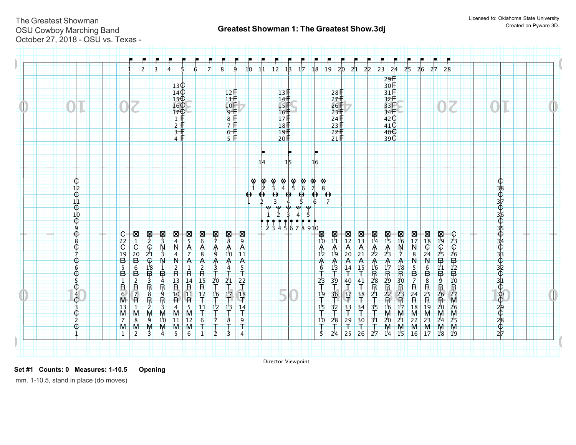$\frac{1}{\mathbf{C}}$ ι<br>Ç e<br>€ լ<br>C  $_{\oplus}$ 

C  $\mathbb G$  $\Phi$ 

 $\overset{4}{\mathsf{C}}$  $\overline{3}$  $\frac{1}{2}$ 

 $\overline{\mathbb{C}}$ ሮ

11

 $rac{28}{27}$  $28E$ 

F

**0 0**

 $\frac{13}{14}$ 15

 $13<sup>+</sup>$ F

 $\overline{\Phi}$ pic<br>C эи<br>С ρ<br>Ç )<br>⊕ ρr<br>φ ρ.<br>φ .<br>φ on<br>C ነ<br>ር  $\hat{\bar{\mathbb{C}}}$  $\widetilde{\Phi}$ 

| <b>C2CBB5B1R6M13M7</b>                                                                                                                           |                                                                                                                                                                                                                                                                                                                                                                                       |
|--------------------------------------------------------------------------------------------------------------------------------------------------|---------------------------------------------------------------------------------------------------------------------------------------------------------------------------------------------------------------------------------------------------------------------------------------------------------------------------------------------------------------------------------------|
| 图 - 0-20 B 6 B 2 R 7 R<br>$\frac{1}{M}$                                                                                                          |                                                                                                                                                                                                                                                                                                                                                                                       |
| <b>⊠≥∉≌≌⊕ººººº</b>                                                                                                                               |                                                                                                                                                                                                                                                                                                                                                                                       |
| ,<br>₩₹₹₹₹₹₹₹₹₹                                                                                                                                  |                                                                                                                                                                                                                                                                                                                                                                                       |
| $\frac{1}{4}$<br><b>NAN2R13R4M2</b>                                                                                                              | $160$<br>$17$<br>$1 + 2$<br>$3 + 4$                                                                                                                                                                                                                                                                                                                                                   |
| 图<br>5<br>$\frac{A}{7}$<br>A1R14R11R5M12                                                                                                         |                                                                                                                                                                                                                                                                                                                                                                                       |
| ⊠6个8个2尺15尺12下11下6                                                                                                                                |                                                                                                                                                                                                                                                                                                                                                                                       |
| 図7<br>$\frac{A}{9}$<br>$A_3$<br>$^{20}_{16}$<br>$\frac{1}{2}$<br>$\frac{1}{l}$                                                                   |                                                                                                                                                                                                                                                                                                                                                                                       |
| $\frac{N}{8}$<br>$A_10$ $A_2$ $A_3$<br>2 <sup>1</sup><br>Ŧ<br>$\frac{1}{4}$<br>$\frac{1}{7}$<br>$\overline{8}$                                   | $\begin{array}{c}\n10 + 7 \\ 9 + 7 \\ 8 + 7 \\ 6 + 7 \\ 10 + 7 \\ 10 + 7 \\ 10 + 7 \\ 10 + 7 \\ 10 + 7 \\ 10 + 7 \\ 10 + 7 \\ 10 + 7 \\ 10 + 7 \\ 10 + 7 \\ 10 + 7 \\ 10 + 7 \\ 10 + 7 \\ 10 + 7 \\ 10 + 7 \\ 10 + 7 \\ 10 + 7 \\ 10 + 7 \\ 10 + 7 \\ 10 + 7 \\ 10 + 7 \\ 10 + 7 \\ 10 + 7 \\ 10 + 7 \\ 10 + 7 \\ 10 + 7 \\ 10 + 7 \\ 10 + 7 \\ 10 + 7 \\ 10 + 7 \\ 10 + 7 \\ 10 + 7$ |
| <b>A</b> 9 A 11 A 5 T 22 T 18 T<br>$\frac{14}{7}$<br>9                                                                                           |                                                                                                                                                                                                                                                                                                                                                                                       |
| $\frac{*}{1}$<br>$\pmb{\Theta}$                                                                                                                  |                                                                                                                                                                                                                                                                                                                                                                                       |
| $\frac{\textbf{*}}{2}$<br>₿<br>$\mathbf{1}$                                                                                                      | 14                                                                                                                                                                                                                                                                                                                                                                                    |
| $*$ <sub>3</sub><br>3<br>$\frac{1}{2}$<br>$\frac{1}{2}$                                                                                          |                                                                                                                                                                                                                                                                                                                                                                                       |
| $*$<br>$\ddot{\boldsymbol{\theta}}$<br>456                                                                                                       | $\begin{array}{r} 15 + 6 + 12 = 18 \\ 18 + 18 + 19 = 19 \\ 20 = 19 \end{array}$<br>1 <sub>5</sub>                                                                                                                                                                                                                                                                                     |
| $*$<br>4<br>$\frac{1}{2}$                                                                                                                        |                                                                                                                                                                                                                                                                                                                                                                                       |
| $*$ 6<br>$*$ 6<br>\$<br>$\frac{4}{5}$<br>910                                                                                                     |                                                                                                                                                                                                                                                                                                                                                                                       |
| $*$<br>** 70<br><b>M</b><br>10<br>12<br>12<br>$A$ <sub>6</sub> <sup><math>+</math></sup><br>$rac{2}{1}$<br>$\frac{19}{T}$<br>$\frac{1}{7}$<br>10 | 16                                                                                                                                                                                                                                                                                                                                                                                    |
| $\boldsymbol{\theta}$<br><b>M<sub>11</sub>A</b> 19A <sub>13</sub><br>$39 + 36 + 37 = 32 + 32$<br>2 <sup>8</sup>                                  |                                                                                                                                                                                                                                                                                                                                                                                       |
| $\frac{18}{12}$<br>$\frac{1}{2}$<br>20<br>A 14 T 40 T 37 T 33 T<br>2 <sub>9</sub>                                                                |                                                                                                                                                                                                                                                                                                                                                                                       |
| $\frac{M}{13}$<br>$\frac{A}{21}$<br>$\overrightarrow{A}$<br>$\overrightarrow{15}$<br>$\frac{4}{1}$<br>$\frac{1}{3}$<br>$\frac{34}{1}$<br>30      |                                                                                                                                                                                                                                                                                                                                                                                       |
| <b>M14 A2 A16 R28 R21</b><br>$rac{3}{5}$<br>3 <sup>1</sup>                                                                                       |                                                                                                                                                                                                                                                                                                                                                                                       |
| <b>M</b> <sub>15</sub><br>15<br>23<br>A17R29R22R16M20                                                                                            | 33 <del>1</del><br>34 <del>1</del><br>42<br>40<br>40<br>39                                                                                                                                                                                                                                                                                                                            |
| $\begin{array}{c}\n\blacksquare \\ \blacksquare \\ 16\n\end{array}$<br>$\frac{N}{7}$<br>$A$ 18 $R$ 30 $R$ 23 $R$ 17 $M$ 21                       |                                                                                                                                                                                                                                                                                                                                                                                       |
| <b>MATN &amp; N 5 B 7 R 24 R 18 M 22</b>                                                                                                         |                                                                                                                                                                                                                                                                                                                                                                                       |
| <b>March 24 Net Beam 25 R 25 R 19 M 23</b>                                                                                                       |                                                                                                                                                                                                                                                                                                                                                                                       |
| <b>Marting to the Part of Resort and Marting to the Part of Part of Part of Part of Part of Part of Part of Part</b>                             |                                                                                                                                                                                                                                                                                                                                                                                       |
| <b>C23C26B12B10R27M26M25</b>                                                                                                                     |                                                                                                                                                                                                                                                                                                                                                                                       |

**Set #1 Counts: 0 Measures: 1-10.5 Opening** 

 $\rm \breve{e}$  $\rm \acute{e}$  $\breve{\epsilon}$  $\overline{\Phi}$ 

Director Viewpoint

**0 0**

11 22 33 44 55 66 11 22 33 44 55

 $M \times M \times M \times M \times T$   $T$   $T$   $T$   $T$   $T$   $T$   $T$ 

1.2 H 10 <u>11</u>  $12 +$ 

F F

 $1$  2 3 4 5 6 7 8 9 10 11 12 13

& & & & & & & & & & & & &

24 25 26 27 14 15 16 17 18 19

 $T$  T T M M M M M M M

 $29E$  $rac{291}{30}$  $rac{301}{31}$  $rac{31}{32}$ 3333

F

17 18 19 20 21 22 23 24 25 26 27 28

& & & & & & & & & & & &

mm. 1-10.5, stand in place (do moves)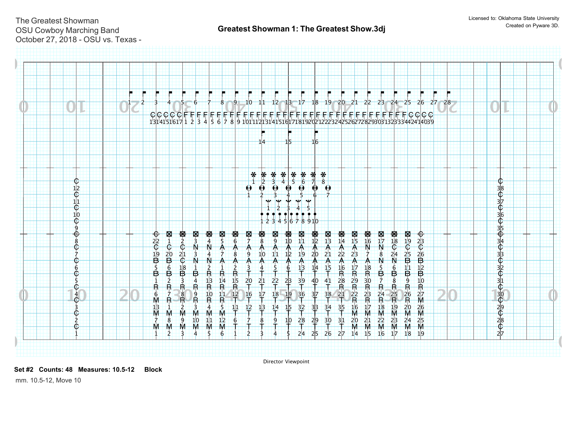

Director Viewpoint

**Set #2 Counts: 48 Measures: 10.5-12 Block** 

mm. 10.5-12, Move 10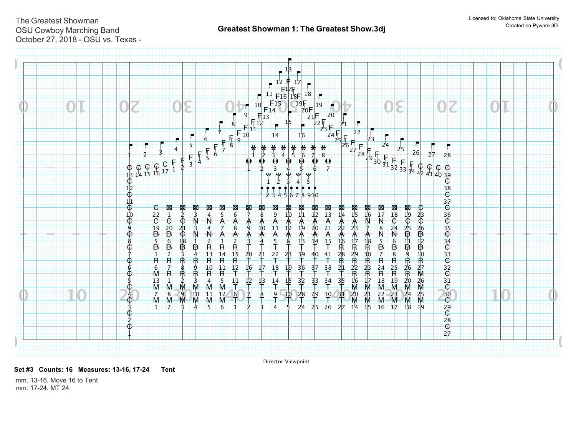

Director Viewpoint

**Set #3 Counts: 16 Measures: 13-16, 17-24 Tent** 

mm. 13-16, Move 16 to Tent mm. 17-24, MT 24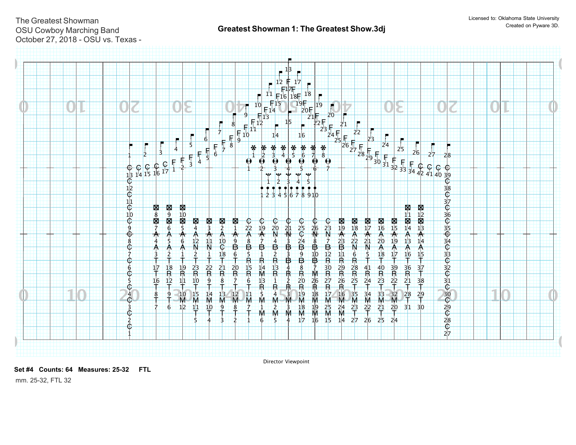

Director Viewpoint

**Set #4 Counts: 64 Measures: 25-32 FTL** 

mm. 25-32, FTL 32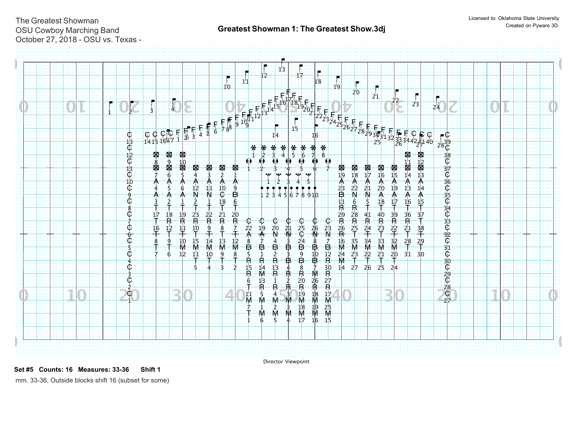

Director Viewpoint

**Set #5 Counts: 16 Measures: 33-36 Shift 1** 

mm. 33-36, Outside blocks shift 16 (subset for some)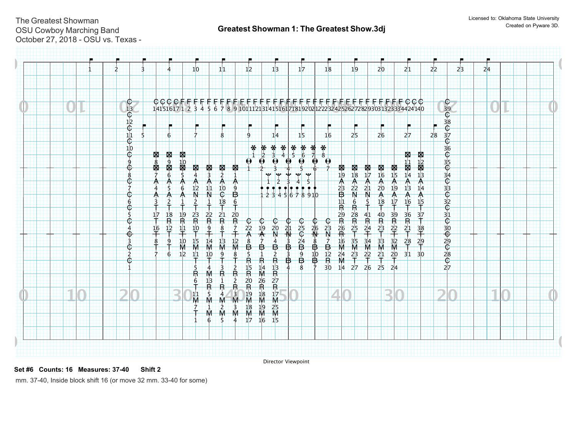| $\begin{matrix} 0 \\ 13 \end{matrix}$<br>¢ |                                                       |                                                                                                                          |                                                                                                                                                                                     |                                                                                                                                                                                                                                                                                     |                                                                                                                                                                                                                                                                                     |                                                                                                                      |                                                                                                                                                 |                                                                                                                                                                                 |                                                                                                                                                                                                                                                                                                          |                                                                                                                                               |                |    |  |
|--------------------------------------------|-------------------------------------------------------|--------------------------------------------------------------------------------------------------------------------------|-------------------------------------------------------------------------------------------------------------------------------------------------------------------------------------|-------------------------------------------------------------------------------------------------------------------------------------------------------------------------------------------------------------------------------------------------------------------------------------|-------------------------------------------------------------------------------------------------------------------------------------------------------------------------------------------------------------------------------------------------------------------------------------|----------------------------------------------------------------------------------------------------------------------|-------------------------------------------------------------------------------------------------------------------------------------------------|---------------------------------------------------------------------------------------------------------------------------------------------------------------------------------|----------------------------------------------------------------------------------------------------------------------------------------------------------------------------------------------------------------------------------------------------------------------------------------------------------|-----------------------------------------------------------------------------------------------------------------------------------------------|----------------|----|--|
|                                            | 6                                                     |                                                                                                                          | ۹                                                                                                                                                                                   | 14                                                                                                                                                                                                                                                                                  | 15                                                                                                                                                                                                                                                                                  | 16                                                                                                                   | 2 <sub>5</sub>                                                                                                                                  | 26                                                                                                                                                                              | 27                                                                                                                                                                                                                                                                                                       | 28                                                                                                                                            |                |    |  |
| $\overline{6}$                             |                                                       |                                                                                                                          |                                                                                                                                                                                     | $\frac{\textbf{2}}{2}$<br>$\boldsymbol{\theta}$<br>$\boldsymbol{\Theta}$                                                                                                                                                                                                            | $\boldsymbol{\Theta}$                                                                                                                                                                                                                                                               | $*$<br>$\theta$                                                                                                      |                                                                                                                                                 |                                                                                                                                                                                 |                                                                                                                                                                                                                                                                                                          |                                                                                                                                               |                |    |  |
| 8                                          | $6\overline{6}$<br>\$<br>A<br>∧<br>6                  | 3<br>11                                                                                                                  | Ѧ<br>9                                                                                                                                                                              | <b>Base</b><br><b>Age</b>                                                                                                                                                                                                                                                           | -a-<br><b>Age</b>                                                                                                                                                                                                                                                                   |                                                                                                                      | 18<br>A<br>2 <sup>2</sup>                                                                                                                       | 16<br>A<br>20<br>19                                                                                                                                                             | $\uparrow$<br>$\mathsf{A}$<br>1 <sup>3</sup><br>14                                                                                                                                                                                                                                                       |                                                                                                                                               |                |    |  |
| 6                                          | 18                                                    |                                                                                                                          | $6\overline{6}$                                                                                                                                                                     |                                                                                                                                                                                                                                                                                     |                                                                                                                                                                                                                                                                                     |                                                                                                                      | $6\phantom{1}6$<br>$\overline{R}$<br>28                                                                                                         | 18<br>40                                                                                                                                                                        | 16<br>$\frac{15}{7}$<br>÷<br>37                                                                                                                                                                                                                                                                          |                                                                                                                                               |                |    |  |
| ⊕<br>3                                     | 1 <sup>2</sup><br>単<br>$\frac{16}{1}$<br>10<br>8<br>9 | $\frac{9}{1}$<br>14                                                                                                      | Ż                                                                                                                                                                                   | $\frac{20}{N}$<br>19                                                                                                                                                                                                                                                                |                                                                                                                                                                                                                                                                                     | $\mathbb{N}$<br>$\overline{7}$                                                                                       | $\frac{25}{1}$                                                                                                                                  | $\frac{23}{4}$                                                                                                                                                                  | $\frac{38}{1}$                                                                                                                                                                                                                                                                                           |                                                                                                                                               |                |    |  |
| $\dot{2}$<br>¢                             | 12<br>6                                               | $\frac{10}{2}$                                                                                                           | 8                                                                                                                                                                                   | $\frac{2}{R}$<br>₿                                                                                                                                                                                                                                                                  | $\mathbf{\dot{g}}$<br>3<br>$\tilde{\mathbf{B}}$<br>$\overline{B}$                                                                                                                                                                                                                   |                                                                                                                      | $\frac{23}{1}$                                                                                                                                  | $^{21}$<br>$^{20}$                                                                                                                                                              | $-31$<br>3 <sub>0</sub>                                                                                                                                                                                                                                                                                  |                                                                                                                                               |                |    |  |
|                                            |                                                       | $\frac{13}{R}$<br>-1                                                                                                     | $\overline{2}$                                                                                                                                                                      | 26                                                                                                                                                                                                                                                                                  |                                                                                                                                                                                                                                                                                     |                                                                                                                      |                                                                                                                                                 |                                                                                                                                                                                 |                                                                                                                                                                                                                                                                                                          |                                                                                                                                               |                |    |  |
|                                            |                                                       | \$<br>IМ<br>M                                                                                                            | 3<br>M<br>М                                                                                                                                                                         | M<br>$\tilde{M}$<br>$\frac{25}{M}$<br>19<br>M                                                                                                                                                                                                                                       |                                                                                                                                                                                                                                                                                     |                                                                                                                      |                                                                                                                                                 |                                                                                                                                                                                 |                                                                                                                                                                                                                                                                                                          |                                                                                                                                               |                |    |  |
|                                            | $\frac{12}{C}$<br>$\frac{11}{6}$<br>∮<br>⊕<br>Œ<br>¢  | <b>N</b> o<br><b>N</b><br>图88图<br>图<br>图10<br>Ѧ<br>∧<br>$\frac{19}{R}$<br>$\frac{17}{1}$<br>$\overline{\mathsf{R}}$<br>M | ×<br>图<br>4<br>Ѧ<br>1 <sup>2</sup><br>$\mathsf{N}$<br>N<br>$\frac{23}{R}$<br>$\frac{2}{R}$<br>$\frac{10}{5}$<br>1 <sub>5</sub><br>M<br>M<br>11<br>Ŧ<br>5<br>3<br>Ř<br>6<br>11<br>Ñλ | 8<br>図<br>怿<br>$\dot{2}$<br>Ѧ<br>10<br>$\overline{\mathbb{G}}$<br>₿<br>18<br>÷<br>$\frac{21}{R}$<br>$\frac{20}{R}$<br>$\frac{8}{1}$<br>$\frac{13}{M}$<br>$\frac{12}{M}$<br>ġ.<br>$\frac{2}{R}$<br>Ř<br>$\begin{array}{ccc}\nR & R \\ 4 & 3 \\ M & M\n\end{array}$<br>$\overline{2}$ | $*$<br>$*$<br>$\boldsymbol{\Theta}$<br>$rac{C}{22}$<br>⊕<br>٨<br>$rac{8}{5}$<br>$\mathbf{B}$<br>$\overline{B}$<br>₿<br>$\frac{15}{R}$<br>$\frac{13}{R}$<br>$\frac{14}{M}$<br>$\frac{27}{R}$<br>$\frac{17}{R}$<br>2 <sub>0</sub><br>$\frac{1}{19}$<br>M<br>M<br>$\frac{R}{18}$<br>18 | $*$<br>$*$<br>$\frac{*}{6}$<br>$\bullet$<br>le≵e.<br>$rac{1}{25}$<br>2 <sup>1</sup><br>$^{24}$<br>$\frac{3}{1}$<br>8 | $*$<br>$\bigoplus$<br>12345678910<br>$rac{C}{23}$<br>$rac{1}{26}$<br>8<br>$\mathbf{B}$<br>$\frac{1}{12}$<br>$\overline{B}$<br>$30^{\circ}$<br>Ż | 图<br>图<br>19<br>٨<br>$^{23}_{\text{B}}$<br>11<br>$\overline{\mathsf{N}}$<br>下<br>$^{29}_{-70}$<br>$\mathsf R$<br>$\frac{16}{M}$<br>$\frac{35}{M}$<br>$\frac{24}{M}$<br>14<br>27 | $\begin{array}{c}\n 8 \\  \hline\n 17\n \end{array}$<br>图<br>图<br>15<br>A<br>Ѧ<br>2 <sub>1</sub><br>N<br>$\blacktriangle$<br>$\frac{A}{17}$<br>$39$<br>$-22$<br>41<br>$\overline{\mathsf{R}}$<br>串<br>$\frac{24}{1}$<br>$\frac{3}{10}$<br>$\frac{34}{M}$<br>$\frac{33}{M}$<br>$^{22}$<br>26<br>25<br>2 4 | <b>M</b><br>14<br>14<br>图记录13<br>$\blacktriangle$<br>$\blacktriangle$<br>$\frac{36}{R}$<br>$\frac{21}{T}$<br>$\frac{29}{5}$<br>$\frac{28}{1}$ | <b>Company</b> | ÷. |  |

Director Viewpoint

**Set #6 Counts: 16 Measures: 37-40 Shift 2** 

mm. 37-40, Inside block shift 16 (or move 32 mm. 33-40 for some)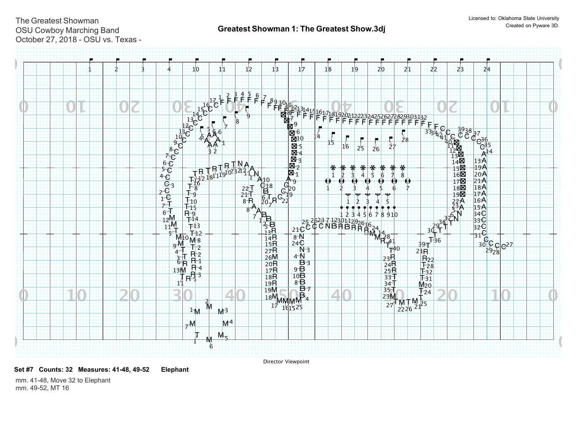

Director Viewpoint

**Set #7 Counts: 32 Measures: 41-48, 49-52 Elephant** 

mm. 41-48, Move 32 to Elephant mm. 49-52, MT 16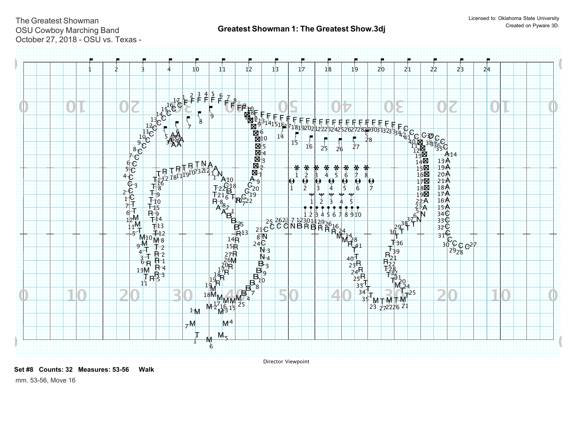

Director Viewpoint

**Set #8 Counts: 32 Measures: 53-56 Walk** 

mm. 53-56, Move 16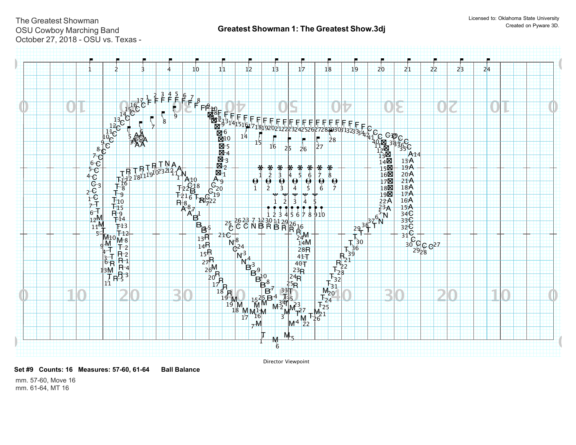

Director Viewpoint

**Set #9 Counts: 16 Measures: 57-60, 61-64 Ball Balance** 

mm. 57-60, Move 16 mm. 61-64, MT 16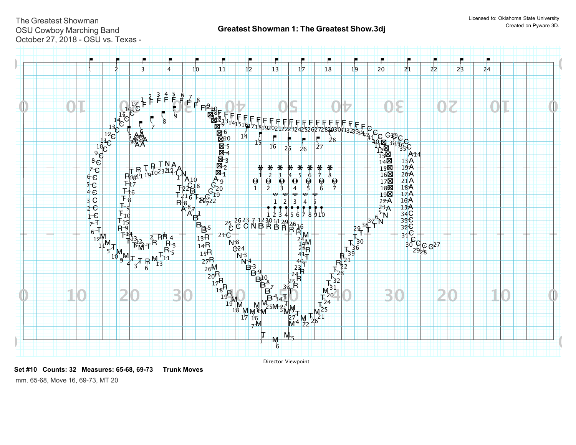

**Set #10 Counts: 32 Measures: 65-68, 69-73 Trunk Moves** 

mm. 65-68, Move 16, 69-73, MT 20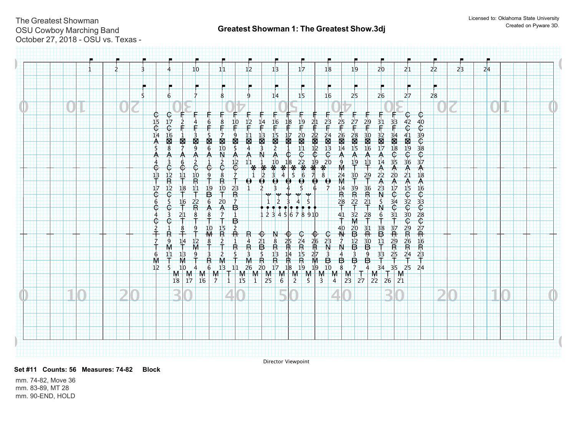|  |  |                |                                           | 1 <sub>0</sub>                                                       |                                    | 11                               |                |                        | 1 <sup>2</sup>                                                  | 13                                                     |                                                                                                                                                                  | 17                                         |                 | 18                         |                                   | 19                                |                                  | 2 <sub>0</sub>                                                  |                                                 | 21                                             | 2 <sup>2</sup> | 2 <sup>3</sup> | 24 |  |  |
|--|--|----------------|-------------------------------------------|----------------------------------------------------------------------|------------------------------------|----------------------------------|----------------|------------------------|-----------------------------------------------------------------|--------------------------------------------------------|------------------------------------------------------------------------------------------------------------------------------------------------------------------|--------------------------------------------|-----------------|----------------------------|-----------------------------------|-----------------------------------|----------------------------------|-----------------------------------------------------------------|-------------------------------------------------|------------------------------------------------|----------------|----------------|----|--|--|
|  |  |                | 6                                         |                                                                      |                                    | 8                                |                |                        | -9                                                              | 14                                                     |                                                                                                                                                                  | 15                                         |                 | 16                         |                                   | 2 <sub>5</sub>                    |                                  | 26                                                              |                                                 | 27                                             | 28             |                |    |  |  |
|  |  |                | $rac{C}{17}$                              |                                                                      |                                    |                                  |                |                        |                                                                 |                                                        |                                                                                                                                                                  |                                            |                 |                            |                                   |                                   |                                  |                                                                 |                                                 | $\bigoplus$<br>¢                               |                |                |    |  |  |
|  |  | $\frac{15}{C}$ | $\overline{\mathbb{G}}$<br>$\frac{16}{5}$ |                                                                      |                                    |                                  |                | ¢.<br>9                | $\frac{12}{5}$                                                  | $\frac{16}{f}$<br>$\frac{13}{3}$                       | 18<br>$\frac{17}{8}$                                                                                                                                             | $\frac{19}{5}$                             | $^{21}$         | $\frac{1}{2}$ <sup>2</sup> | $\frac{25}{1}$<br>$\frac{26}{14}$ | $\frac{27}{5}$                    | $^{29}$                          | $\frac{31}{4}$                                                  | $rac{1}{23}$                                    | $rac{42}{C}$<br>40<br>30<br>30<br>30<br>37     |                |                |    |  |  |
|  |  |                | $\frac{1}{8}$<br>Α                        | 图9<br>图<br>₳<br>6                                                    | 图                                  | $\frac{1}{2}$                    |                | $\sum_{5}$<br>Ѧ        | $\frac{11}{4}$<br>₳                                             | $\frac{15}{2}$                                         |                                                                                                                                                                  | $\frac{20}{11}$                            | $rac{22}{6}$    | $8*800$                    | $A_{9}^{\circ}$                   | $\frac{28}{15}$<br>$\frac{A}{19}$ | $\frac{30}{26}$<br>٨             | $\frac{32}{17}$<br>₳<br>14                                      | $\frac{34}{18}$                                 | 4189196<br>36<br>21                            |                |                |    |  |  |
|  |  | $\frac{13}{7}$ | $\frac{1}{R}$                             | ē<br>$\frac{10}{R}$<br>11                                            | $\frac{9}{1}$                      | $\frac{2}{6}$<br>$\frac{8}{R}$   | $\overline{7}$ | $\frac{12}{6}$         | $\begin{array}{c}\n11 \\ \ast \\ 1\n\end{array}$<br>$\bigoplus$ | $\frac{10}{3}$<br>$\frac{1}{2}$<br>$\overline{\Theta}$ | $*$ <sup>18</sup><br>$*$ <sup>4</sup><br>4 <sup>5</sup><br>$\bigoplus$                                                                                           | $rac{1}{6}$<br>$rac{22}{6}$<br>$rac{1}{6}$ | $\frac{19}{70}$ |                            | $\frac{24}{M}$                    | $\frac{30}{1}$                    | $\frac{13}{5}$<br>$^{29}$        | $A$ <sub>2</sub><br>A                                           | $\frac{35}{20}$                                 | $\begin{array}{c}\nA \\ 18\n\end{array}$       |                |                |    |  |  |
|  |  | 17<br>¢<br>6   | $\frac{12}{C}$<br>\$                      | $\frac{18}{1}$<br>$\frac{11}{4}$<br>2 <sup>2</sup><br>$\frac{16}{1}$ | $\overline{19}$<br>$6\overline{6}$ | $\frac{10}{1}$<br>2 <sub>0</sub> | $\frac{23}{R}$ |                        |                                                                 | 3<br>$\mathcal{P}$                                     |                                                                                                                                                                  | 5                                          |                 |                            | $\frac{14}{R}$<br>$\frac{28}{T}$  | $\frac{39}{R}$<br>$\frac{22}{T}$  | $\frac{36}{R}$<br>$\frac{21}{4}$ | $2^{3}$<br>$7^{3}$                                              | $A_{17}C_{34}$                                  | A15G32G30G29R26R24<br>A 16C 33C 28C 27R 16R 23 |                |                |    |  |  |
|  |  |                | ¢<br>3<br>¢                               | $\mathsf R$<br>$^{21}$<br>$\frac{8}{1}$                              | ∧                                  | $\frac{A}{7}$                    | 毋<br>₿         |                        |                                                                 | 23                                                     | $\overline{4}$                                                                                                                                                   | 5678910                                    |                 |                            | $\frac{41}{7}$                    | $\frac{32}{M}$                    | $\frac{28}{1}$                   | $\frac{6}{1}$                                                   |                                                 |                                                |                |                |    |  |  |
|  |  |                | ġ                                         | 8<br>$\frac{9}{1}$<br>1 <sup>2</sup><br>$^{14}$                      | $\frac{10}{M}$<br>$\frac{8}{5}$    | $\frac{15}{R}$<br>$\frac{2}{1}$  |                | $\frac{2}{\mathsf{R}}$ | <del>π</del>                                                    |                                                        |                                                                                                                                                                  |                                            |                 |                            | $\frac{40}{N}$                    |                                   | $\frac{31}{11}$                  | $\overline{B}^{38}$<br>$\frac{11}{1}$                           | $\frac{37}{10} + \frac{29}{15} + \frac{25}{15}$ |                                                |                |                |    |  |  |
|  |  | 6              | $\frac{11}{2}$                            | $\frac{13}{M}$<br>ġ                                                  | $\frac{1}{6}$                      |                                  |                | $\frac{1}{R}$          |                                                                 |                                                        |                                                                                                                                                                  |                                            |                 |                            |                                   | 20B12B3                           | —<br>Ф⊕⊕                         | $\frac{33}{1}$                                                  |                                                 |                                                |                |                |    |  |  |
|  |  | 1 <sup>2</sup> |                                           | 10<br>4<br>$M$ $M$ $M$<br>$18$ $17$ $16$                             |                                    | 1 <sup>3</sup><br>$\frac{M}{7}$  | 11<br>甜        |                        |                                                                 |                                                        | 1 4 21 8 25 24 26 23 7 1<br>1 4 21 8 25 24 26 23 7 1<br>1 5 3 5 13 14 15 27 3 4 3<br>1 26 20 17 18 19 19 10 8 7<br>M M M M M M M M M M M<br>15 1 25 6 2 5 3 4 23 |                                            |                 |                            |                                   | $\frac{1}{27}$                    | $\frac{4}{ }$                    | 34<br>$\begin{bmatrix} 1 \\ 22 \end{bmatrix}$<br>2 <sub>6</sub> | 35<br>M<br>2 <sup>1</sup>                       | 25<br>24                                       |                |                |    |  |  |
|  |  |                |                                           |                                                                      |                                    |                                  |                |                        |                                                                 |                                                        |                                                                                                                                                                  |                                            |                 |                            |                                   |                                   |                                  |                                                                 |                                                 |                                                |                |                |    |  |  |
|  |  |                |                                           |                                                                      |                                    |                                  |                |                        |                                                                 |                                                        |                                                                                                                                                                  |                                            |                 |                            |                                   |                                   |                                  |                                                                 |                                                 |                                                |                |                |    |  |  |
|  |  |                |                                           |                                                                      |                                    |                                  |                |                        |                                                                 |                                                        |                                                                                                                                                                  |                                            |                 |                            |                                   |                                   |                                  |                                                                 |                                                 |                                                |                |                |    |  |  |

Director Viewpoint

**Set #11 Counts: 56 Measures: 74-82 Block** 

mm. 74-82, Move 36 mm. 83-89, MT 28 mm. 90-END, HOLD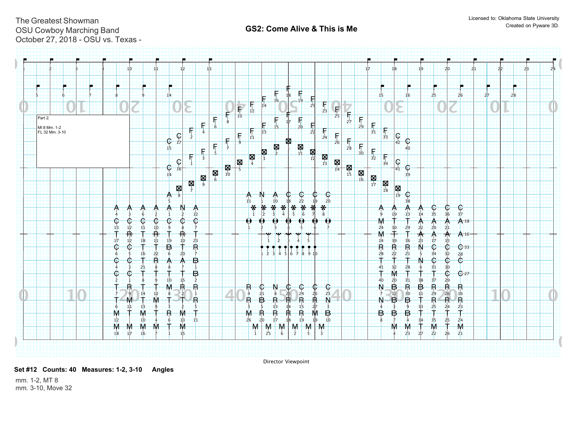## **0 0 0 0**  $13 \t12 \t11$   $10 \t9$   $8$  $6 + 5$  $4 + 3$  $2 + 1$ 39 3<sub>8</sub> 35 36 37 3<sup>4</sup>  $C - 33$  $\overline{C}$   $\overline{C}$   $C$ <br>34 32 28 31 30  $rac{30}{29}$ 28  $C_{27}$  $\frac{C}{22}$  $\frac{1}{1}$  $\dot{2}$  $\boxtimes$   $\boxtimes$  $\frac{M}{4}$  $\frac{1}{5}$  $\frac{1}{6}$  $\mathbb{R}$   $\mathbb{R}$  $\mathbb{R}^8$ **N**<br>9 区<br><sub>10</sub>  $\mathbf{N}$ **21**<br><sup>11</sup> 22 22  $\frac{M}{13}$  $\begin{array}{c|c}\n\hline\n\mathbf{Q} & \mathbf{Q} \\
\hline\n\mathbf{I}^{\text{4}} & \mathbf{I}^{\text{5}} \\
\hline\n\end{array}$ 图<br>图<br>图  $\frac{1}{17}$  $\begin{array}{c|c|c}\n\hline\n\mathbf{M} & \mathbf{M}\n\end{array}$ 区<br>19  $\frac{C}{23}$  $\begin{array}{cc} \mathbf{C} & \mathbf{C} \\ \mathbf{19} & \mathbf{20} \end{array}$  $rac{C}{21}$ 3 4  $8 \overline{7}$  $\frac{1}{9}$ A N A C  $12$  $2|2|2|0|$   $2|1$  $\frac{22}{23}$  $888825$  24 26 23 4 1 2 5555 B  $6 \frac{1}{2}$  $4$   $3$  6 2 2 1 2 5555  $6$   $2$   $1$   $2$   $1$   $2$   $1$   $1$   $1$   $1$   $1$   $2$   $3$   $4$   $5$   $6$   $7$   $8$   $1$   $1$   $1$   $1$   $1$   $1$   $1$   $1$  $15$  $A<sub>16</sub>$ 17  $A_{18}$ **5**  $6 \overline{6}$  $\overrightarrow{B}$   $\overrightarrow{R}$   $\overrightarrow{B}$ <br>12 30 11  $\mathbf{1}$  $\overline{2}$ 3  $4$ 13 14 15  $2<sub>c</sub>$ 21 22 23  $-$  1  $-$  1  $-$  1  $-$  1  $-$  1  $-$  1  $-$  1  $-$  3  $-$  4  $-$  5  $-$  1  $-$  1  $-$  1  $-$  14  $-$  3  $\frac{41}{40}$  $4<sub>1</sub>$  $28$  $R$  B R<br>30 11 29  $8 + 7$ ۈ  $6$  13 11 1  $1$  26 20 17 18 19 19 10 7777  $\dot{8}$  $\frac{1}{9}$  $\overline{C}$  1<sup>1</sup><sub>12</sub> 1<sup>1</sup><sub>12</sub> 1<sup>1</sup><sub>11</sub> 1<sup>1</sup><sub>11</sub> 1<sup>1</sup><sub>11</sub><sup>0</sup><sub>11</sub> 1<sup>1</sup><sub>0</sub>  $\overline{1}^6$  $17 - 12 - 18$   $11 - 19 - 10 - 23 - 1$   $11 - 2$   $11 - 2$   $13 - 3$   $14 - 5$   $11 - 14 - 14$   $14 - 39 - 36$  $37$  $22 - 21$ 2 $\overline{2}$  23  $^{29}$   $^{26}$   $^{16}$ <br>R R R  $R_{27}^{\circ}$ 13  $\frac{1}{2}$  $\mathring{\mathsf{R}}$  $\frac{1}{4}$ 5555 111 12<br>M 1<sub>3</sub>  $14$ 15 32 3333 35  $\frac{16}{\mathsf{R}}$  $2|6 - 2|0 - 1|7 - 1|8 - 1|9$ 7777  $\dot{8}$ ۋ  $1<sub>0</sub>$  $11$  $12$ 6 7  $1<sub>0</sub>$ 28  $30 - 29$  $20 \ 31$  $23 - 27 - 22 - 26 - 21$ **24** 1 15 15 1 11 1 1 1 1  $\frac{1}{4}$  $\frac{3}{2}$ . 10 4 6 13 11 <del>| |</del> 26 20 17 18 19 19 10 | | | 8 7 4 3/4 3/5 2/5 2/4  $2<sup>2</sup>$ 14  $18$  17 16 7 1 15  $10$  $\frac{1}{14}$  $rac{C}{15}$ C<br>16 C<br>17 F<br>1  $\frac{1}{2}$  $\frac{1}{3}$ F<br>4  $\overline{\mathbf{5}}$ **「**<br>6 7777 F<sub>8</sub>  $\dot{9}$ F<br>10  $\overline{\mathsf{F}}_{11}$  $\frac{1}{12}$  $13$  $\frac{1}{14}$  $15.$  $16$ 17  $40$  $C$ <sub>41</sub>  $C$ <sub>42</sub>  $\frac{1}{34}$  $\frac{1}{33}$  $\frac{F}{32}$  $F_{31}$  $F_{30}$  $\frac{F}{29}$  $\frac{1}{28}$  $\frac{1}{27}$  $26$  $\frac{1}{25}$  $\frac{1}{24}$  $\frac{1}{23}$  $\frac{1}{22}$  $\frac{1}{21}$  $20$  $\begin{array}{c} \mathbf{F} \\ 18 \\ -19 \end{array}$ 18  $1$   $2$   $3$   $4$   $5$   $6$  $1$   $2$   $3$   $4$   $5$   $6$   $7$   $8$  $1$  2 3 4 5  $\begin{array}{|c|c|c|c|c|c|}\n\hline\n1 & 2 & 3 & 4 & 5 & 6 & 7 & 8 & 9 & 10\n\end{array}$ 1414 1515 1616  $1 + 2 + 3$ 5<del>. | | | 6. | | | | 7 | | | | | 8 | | | |</del> 9 10 10 11 12 12 13 13 131 131 131 131 131 1324  $2|5|$  2 $|7|$  2 $|7|$  28  $\dot{\mathbf{c}}$   $\dot{\mathbf{c}}$   $\dot{\mathbf{c}}$   $\dot{\mathbf{c}}$   $\dot{\mathbf{c}}$   $\dot{\mathbf{c}}$   $\dot{\mathbf{c}}$  $\overline{\mathbb{G}}$ C C  $\mathring{\mathsf{c}}$   $\mathring{\mathsf{c}}$  $\mathbb{G}$  $\mathbb{C}$  $\mathsf{c}$   $\mathsf{c}$   $\mathsf{c}$  $\mathbf{c}\mathbf{-}\mathbf{c}$  $\mathbb G$ **K**  $N$  N A A A A A **A A A A A A A A A A A A A A A A A** A A A A A A A A A  $N$  C C C C  $N$  $\overline{B}$ A A A A N  $\frac{1}{2}$ A A A  $A \overrightarrow{A} A$ N N  $\overline{B}$ B  $\overline{\mathbf{B}}_{12}$ B R R R  $10$ T T R B B B  $\mathring{\mathsf{R}}$   $\mathring{\mathsf{W}}$   $\mathring{\mathsf{T}}$   $\mathring{\mathsf{R}}$   $\mathring{\mathsf{R}}$   $\mathring{\mathsf{R}}$   $\mathring{\mathsf{R}}$   $\mathring{\mathsf{R}}$   $\mathring{\mathsf{R}}$   $\mathring{\mathsf{W}}$   $\mathring{\mathsf{B}}$  $\overline{R}$ n<br>R R # <del>T # T #</del>  $18$ T T T T 。<br>十 十  $39$   $36$ <br>R R R M R R R  $\ddagger$  $\ddagger$  $\mathring{\dagger}$  $\dagger$  $2<sub>2</sub>$ Ŧ "<br>T T R M R R R R M M M M M  $\ddagger$  $\ddagger$ T T T T T w<br>M T  $M + M + M$ M  $\check{\mathsf{T}}$   $\check{\mathsf{W}}$   $\check{\mathsf{W}}$   $\check{\mathsf{W}}$   $\check{\mathsf{W}}$   $\check{\mathsf{W}}$   $\check{\mathsf{W}}$   $\check{\mathsf{W}}$   $\check{\mathsf{W}}$   $\check{\mathsf{W}}$   $\check{\mathsf{W}}$   $\check{\mathsf{W}}$   $\check{\mathsf{W}}$   $\check{\mathsf{W}}$   $\check{\mathsf{W}}$   $\check{\mathsf{W}}$   $\check{\mathsf{W}}$   $\check{\mathsf{W}}$   $\check{\mathsf{W}}$   $\check{\mathsf{W}}$   $\check$  $\mathring{\mathsf{T}}\mathring{\rightarrow}\mathring{\mathsf{T}}$  $\ddot{\uparrow}$   $\ddot{\uparrow}$   $\ddot{\uparrow}$   $\dot{\uparrow}$   $\dot{\uparrow}$   $\ddot{\uparrow}$   $\ddot{\uparrow}$   $\ddot{\uparrow}$   $\ddot{\uparrow}$   $\ddot{\uparrow}$   $\ddot{\uparrow}$   $\ddot{\uparrow}$   $\ddot{\uparrow}$   $\ddot{\uparrow}$   $\ddot{\uparrow}$   $\ddot{\uparrow}$   $\ddot{\uparrow}$   $\ddot{\uparrow}$   $\ddot{\uparrow}$   $\ddot{\uparrow}$   $\ddot{\uparrow}$   $\ddot{\uparrow}$   $\dd$  $M$ M M M M M **M** F F F F F F F F C F F  $\theta$   $\theta$   $\theta$   $\theta$   $\theta$   $\theta$   $\theta$ \* \* \* \* \* \* \* \*  $\sim$   $\sim$   $\sim$   $\sim$ & & & & & & & & & & & & & & & & & & & & & & & & & & & & Part 2: Mt 8 Mm. 1-2 FL 32 Mm. 3-10

Director Viewpoint

**Set #12 Counts: 40 Measures: 1-2, 3-10 Angles** 

mm. 1-2, MT 8 mm. 3-10, Move 32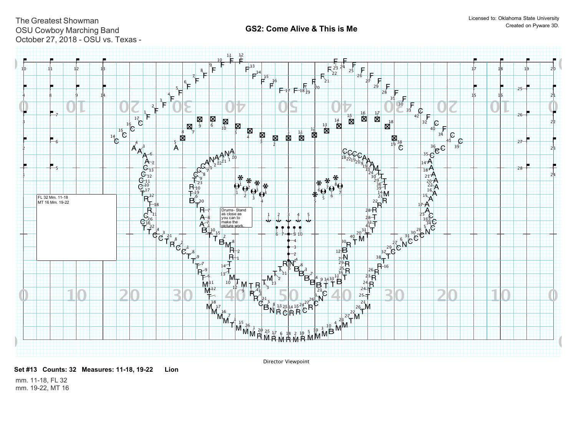

**Set #13 Counts: 32 Measures: 11-18, 19-22 Lion** 

Director Viewpoint

mm. 11-18, FL 32 mm. 19-22, MT 16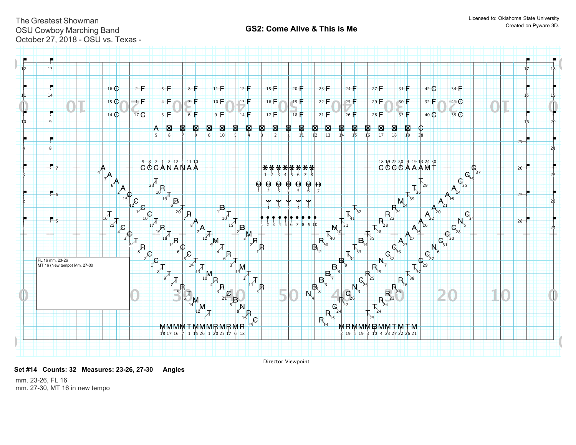

Director Viewpoint

**Set #14 Counts: 32 Measures: 23-26, 27-30 Angles** 

mm. 23-26, FL 16 mm. 27-30, MT 16 in new tempo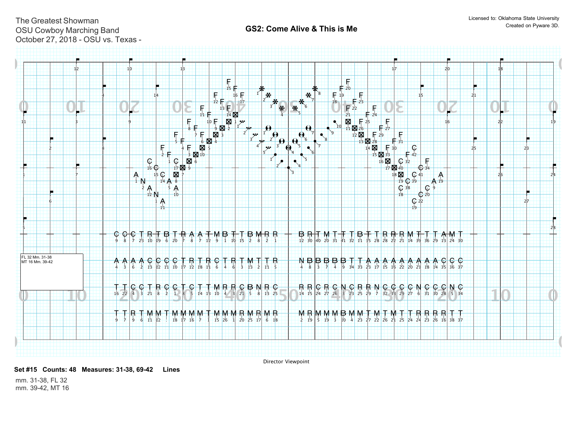

Director Viewpoint

**Set #15 Counts: 48 Measures: 31-38, 69-42 Lines** 

mm. 31-38, FL 32 mm. 39-42, MT 16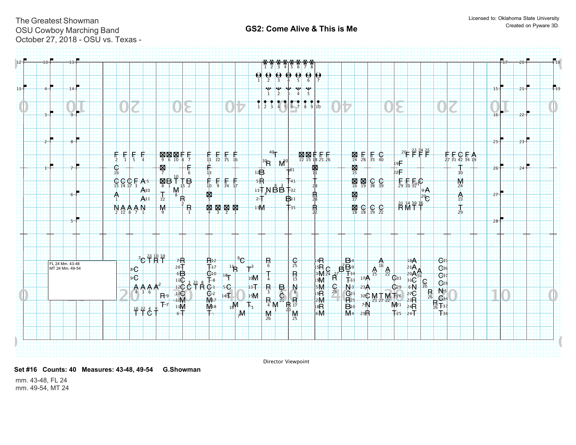

Director Viewpoint

**Set #16 Counts: 40 Measures: 43-48, 49-54 G.Showman** 

mm. 43-48, FL 24 mm. 49-54, MT 24